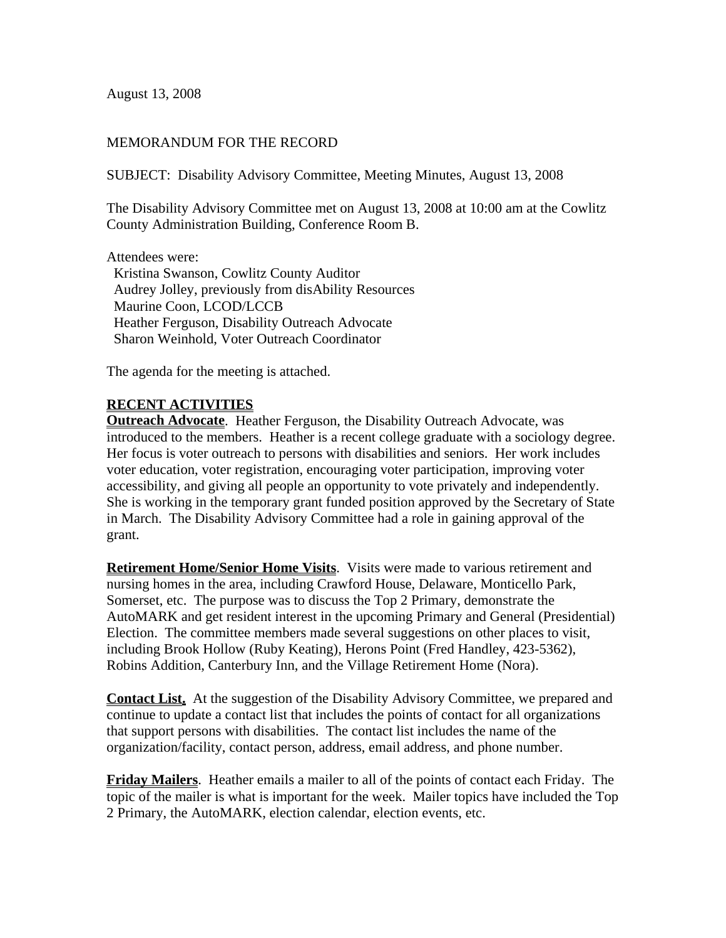August 13, 2008

### MEMORANDUM FOR THE RECORD

SUBJECT: Disability Advisory Committee, Meeting Minutes, August 13, 2008

The Disability Advisory Committee met on August 13, 2008 at 10:00 am at the Cowlitz County Administration Building, Conference Room B.

Attendees were:

 Kristina Swanson, Cowlitz County Auditor Audrey Jolley, previously from disAbility Resources Maurine Coon, LCOD/LCCB Heather Ferguson, Disability Outreach Advocate Sharon Weinhold, Voter Outreach Coordinator

The agenda for the meeting is attached.

## **RECENT ACTIVITIES**

**Outreach Advocate**. Heather Ferguson, the Disability Outreach Advocate, was introduced to the members. Heather is a recent college graduate with a sociology degree. Her focus is voter outreach to persons with disabilities and seniors. Her work includes voter education, voter registration, encouraging voter participation, improving voter accessibility, and giving all people an opportunity to vote privately and independently. She is working in the temporary grant funded position approved by the Secretary of State in March. The Disability Advisory Committee had a role in gaining approval of the grant.

**Retirement Home/Senior Home Visits**. Visits were made to various retirement and nursing homes in the area, including Crawford House, Delaware, Monticello Park, Somerset, etc. The purpose was to discuss the Top 2 Primary, demonstrate the AutoMARK and get resident interest in the upcoming Primary and General (Presidential) Election. The committee members made several suggestions on other places to visit, including Brook Hollow (Ruby Keating), Herons Point (Fred Handley, 423-5362), Robins Addition, Canterbury Inn, and the Village Retirement Home (Nora).

**Contact List.** At the suggestion of the Disability Advisory Committee, we prepared and continue to update a contact list that includes the points of contact for all organizations that support persons with disabilities. The contact list includes the name of the organization/facility, contact person, address, email address, and phone number.

**Friday Mailers**. Heather emails a mailer to all of the points of contact each Friday. The topic of the mailer is what is important for the week. Mailer topics have included the Top 2 Primary, the AutoMARK, election calendar, election events, etc.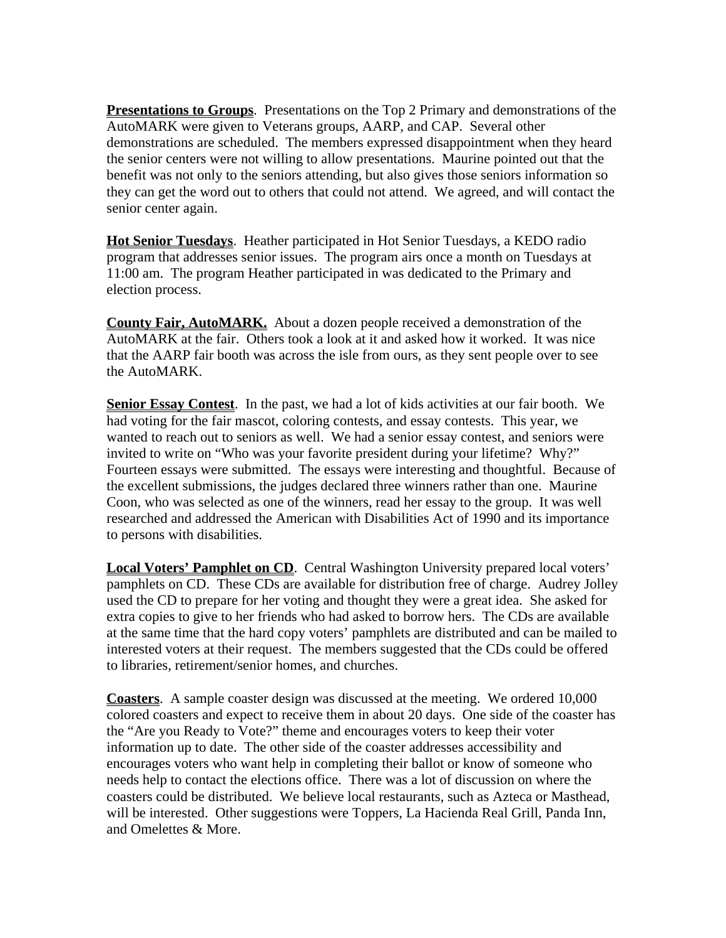**Presentations to Groups**. Presentations on the Top 2 Primary and demonstrations of the AutoMARK were given to Veterans groups, AARP, and CAP. Several other demonstrations are scheduled. The members expressed disappointment when they heard the senior centers were not willing to allow presentations. Maurine pointed out that the benefit was not only to the seniors attending, but also gives those seniors information so they can get the word out to others that could not attend. We agreed, and will contact the senior center again.

**Hot Senior Tuesdays**. Heather participated in Hot Senior Tuesdays, a KEDO radio program that addresses senior issues. The program airs once a month on Tuesdays at 11:00 am. The program Heather participated in was dedicated to the Primary and election process.

**County Fair, AutoMARK.** About a dozen people received a demonstration of the AutoMARK at the fair. Others took a look at it and asked how it worked. It was nice that the AARP fair booth was across the isle from ours, as they sent people over to see the AutoMARK.

**Senior Essay Contest**. In the past, we had a lot of kids activities at our fair booth. We had voting for the fair mascot, coloring contests, and essay contests. This year, we wanted to reach out to seniors as well. We had a senior essay contest, and seniors were invited to write on "Who was your favorite president during your lifetime? Why?" Fourteen essays were submitted. The essays were interesting and thoughtful. Because of the excellent submissions, the judges declared three winners rather than one. Maurine Coon, who was selected as one of the winners, read her essay to the group. It was well researched and addressed the American with Disabilities Act of 1990 and its importance to persons with disabilities.

**Local Voters' Pamphlet on CD**. Central Washington University prepared local voters' pamphlets on CD. These CDs are available for distribution free of charge. Audrey Jolley used the CD to prepare for her voting and thought they were a great idea. She asked for extra copies to give to her friends who had asked to borrow hers. The CDs are available at the same time that the hard copy voters' pamphlets are distributed and can be mailed to interested voters at their request. The members suggested that the CDs could be offered to libraries, retirement/senior homes, and churches.

**Coasters**. A sample coaster design was discussed at the meeting. We ordered 10,000 colored coasters and expect to receive them in about 20 days. One side of the coaster has the "Are you Ready to Vote?" theme and encourages voters to keep their voter information up to date. The other side of the coaster addresses accessibility and encourages voters who want help in completing their ballot or know of someone who needs help to contact the elections office. There was a lot of discussion on where the coasters could be distributed. We believe local restaurants, such as Azteca or Masthead, will be interested. Other suggestions were Toppers, La Hacienda Real Grill, Panda Inn, and Omelettes & More.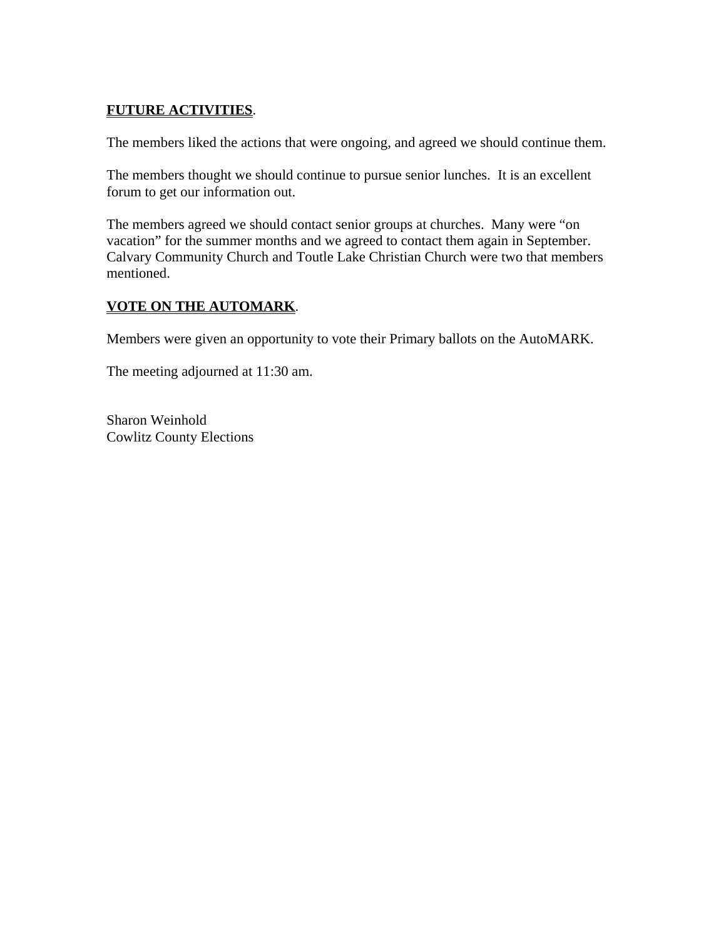# **FUTURE ACTIVITIES**.

The members liked the actions that were ongoing, and agreed we should continue them.

The members thought we should continue to pursue senior lunches. It is an excellent forum to get our information out.

The members agreed we should contact senior groups at churches. Many were "on vacation" for the summer months and we agreed to contact them again in September. Calvary Community Church and Toutle Lake Christian Church were two that members mentioned.

# **VOTE ON THE AUTOMARK**.

Members were given an opportunity to vote their Primary ballots on the AutoMARK.

The meeting adjourned at 11:30 am.

Sharon Weinhold Cowlitz County Elections